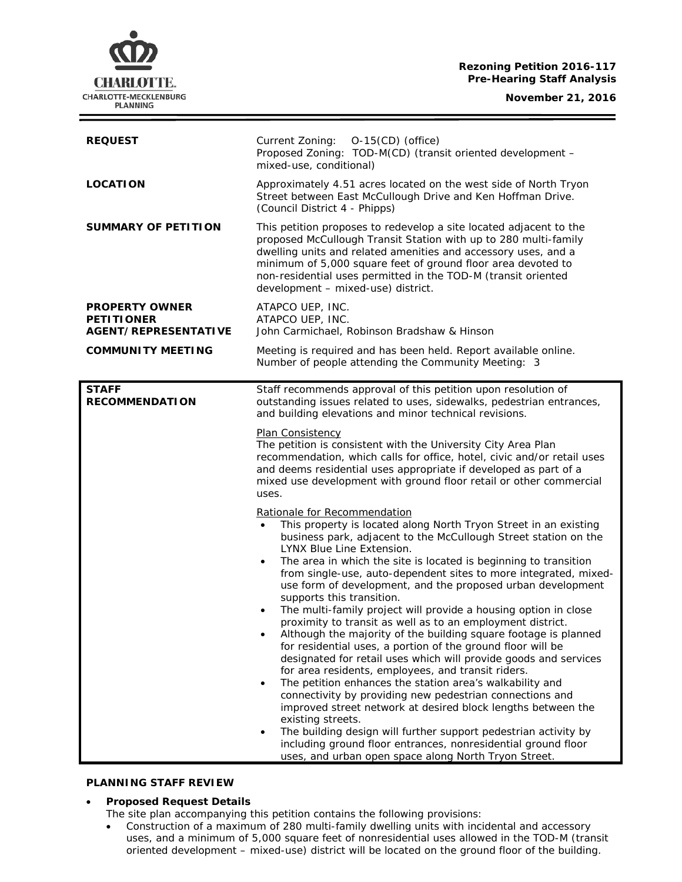#### **Rezoning Petition 2016-117 Pre-Hearing Staff Analysis**

**November 21, 2016**



| <b>REQUEST</b>                                                            | $O-15$ (CD) (office)<br>Current Zoning:<br>Proposed Zoning: TOD-M(CD) (transit oriented development -<br>mixed-use, conditional)                                                                                                                                                                                                                                                                                                                                                                                                                                                                                                                                                                                                                                                                                                                                                                                                                                                                                                                                                                                                                                                                                                                                                                    |
|---------------------------------------------------------------------------|-----------------------------------------------------------------------------------------------------------------------------------------------------------------------------------------------------------------------------------------------------------------------------------------------------------------------------------------------------------------------------------------------------------------------------------------------------------------------------------------------------------------------------------------------------------------------------------------------------------------------------------------------------------------------------------------------------------------------------------------------------------------------------------------------------------------------------------------------------------------------------------------------------------------------------------------------------------------------------------------------------------------------------------------------------------------------------------------------------------------------------------------------------------------------------------------------------------------------------------------------------------------------------------------------------|
| <b>LOCATION</b>                                                           | Approximately 4.51 acres located on the west side of North Tryon<br>Street between East McCullough Drive and Ken Hoffman Drive.<br>(Council District 4 - Phipps)                                                                                                                                                                                                                                                                                                                                                                                                                                                                                                                                                                                                                                                                                                                                                                                                                                                                                                                                                                                                                                                                                                                                    |
| SUMMARY OF PETITION                                                       | This petition proposes to redevelop a site located adjacent to the<br>proposed McCullough Transit Station with up to 280 multi-family<br>dwelling units and related amenities and accessory uses, and a<br>minimum of 5,000 square feet of ground floor area devoted to<br>non-residential uses permitted in the TOD-M (transit oriented<br>development - mixed-use) district.                                                                                                                                                                                                                                                                                                                                                                                                                                                                                                                                                                                                                                                                                                                                                                                                                                                                                                                      |
| <b>PROPERTY OWNER</b><br><b>PETITIONER</b><br><b>AGENT/REPRESENTATIVE</b> | ATAPCO UEP, INC.<br>ATAPCO UEP, INC.<br>John Carmichael, Robinson Bradshaw & Hinson                                                                                                                                                                                                                                                                                                                                                                                                                                                                                                                                                                                                                                                                                                                                                                                                                                                                                                                                                                                                                                                                                                                                                                                                                 |
| <b>COMMUNITY MEETING</b>                                                  | Meeting is required and has been held. Report available online.<br>Number of people attending the Community Meeting: 3                                                                                                                                                                                                                                                                                                                                                                                                                                                                                                                                                                                                                                                                                                                                                                                                                                                                                                                                                                                                                                                                                                                                                                              |
| <b>STAFF</b><br><b>RECOMMENDATION</b>                                     | Staff recommends approval of this petition upon resolution of<br>outstanding issues related to uses, sidewalks, pedestrian entrances,<br>and building elevations and minor technical revisions.                                                                                                                                                                                                                                                                                                                                                                                                                                                                                                                                                                                                                                                                                                                                                                                                                                                                                                                                                                                                                                                                                                     |
|                                                                           | <b>Plan Consistency</b><br>The petition is consistent with the University City Area Plan<br>recommendation, which calls for office, hotel, civic and/or retail uses<br>and deems residential uses appropriate if developed as part of a<br>mixed use development with ground floor retail or other commercial<br>uses.                                                                                                                                                                                                                                                                                                                                                                                                                                                                                                                                                                                                                                                                                                                                                                                                                                                                                                                                                                              |
|                                                                           | Rationale for Recommendation<br>This property is located along North Tryon Street in an existing<br>$\bullet$<br>business park, adjacent to the McCullough Street station on the<br>LYNX Blue Line Extension.<br>The area in which the site is located is beginning to transition<br>$\bullet$<br>from single-use, auto-dependent sites to more integrated, mixed-<br>use form of development, and the proposed urban development<br>supports this transition.<br>The multi-family project will provide a housing option in close<br>٠<br>proximity to transit as well as to an employment district.<br>Although the majority of the building square footage is planned<br>for residential uses, a portion of the ground floor will be<br>designated for retail uses which will provide goods and services<br>for area residents, employees, and transit riders.<br>The petition enhances the station area's walkability and<br>$\bullet$<br>connectivity by providing new pedestrian connections and<br>improved street network at desired block lengths between the<br>existing streets.<br>The building design will further support pedestrian activity by<br>$\bullet$<br>including ground floor entrances, nonresidential ground floor<br>uses, and urban open space along North Tryon Street. |

## **PLANNING STAFF REVIEW**

## • **Proposed Request Details**

The site plan accompanying this petition contains the following provisions:

• Construction of a maximum of 280 multi-family dwelling units with incidental and accessory uses, and a minimum of 5,000 square feet of nonresidential uses allowed in the TOD-M (transit oriented development – mixed-use) district will be located on the ground floor of the building.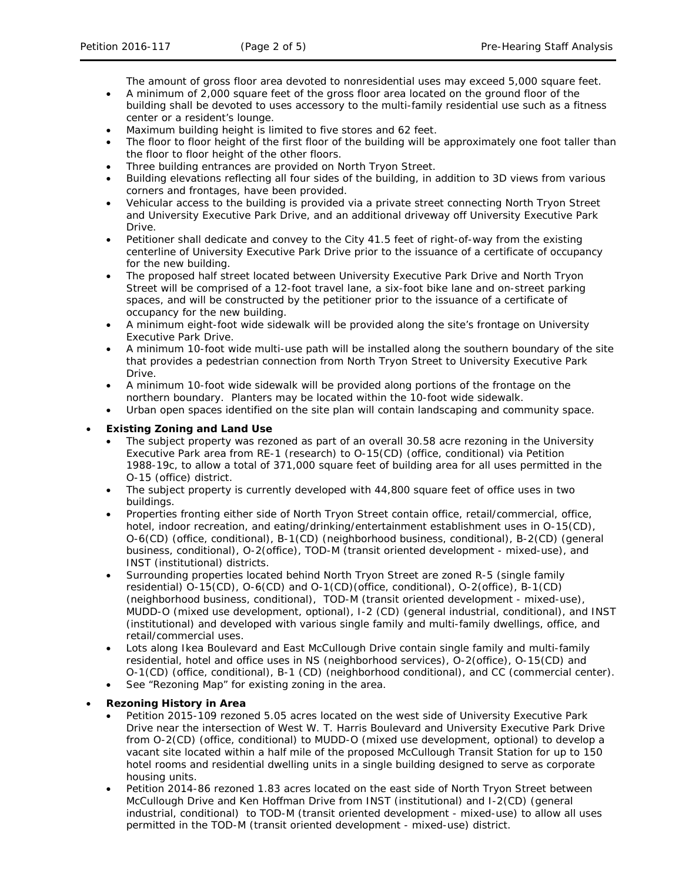The amount of gross floor area devoted to nonresidential uses may exceed 5,000 square feet.

- A minimum of 2,000 square feet of the gross floor area located on the ground floor of the building shall be devoted to uses accessory to the multi-family residential use such as a fitness center or a resident's lounge.
- Maximum building height is limited to five stores and 62 feet.
- The floor to floor height of the first floor of the building will be approximately one foot taller than the floor to floor height of the other floors.
- Three building entrances are provided on North Tryon Street.
- Building elevations reflecting all four sides of the building, in addition to 3D views from various corners and frontages, have been provided.
- Vehicular access to the building is provided via a private street connecting North Tryon Street and University Executive Park Drive, and an additional driveway off University Executive Park Drive.
- Petitioner shall dedicate and convey to the City 41.5 feet of right-of-way from the existing centerline of University Executive Park Drive prior to the issuance of a certificate of occupancy for the new building.
- The proposed half street located between University Executive Park Drive and North Tryon Street will be comprised of a 12-foot travel lane, a six-foot bike lane and on-street parking spaces, and will be constructed by the petitioner prior to the issuance of a certificate of occupancy for the new building.
- A minimum eight-foot wide sidewalk will be provided along the site's frontage on University Executive Park Drive.
- A minimum 10-foot wide multi-use path will be installed along the southern boundary of the site that provides a pedestrian connection from North Tryon Street to University Executive Park Drive.
- A minimum 10-foot wide sidewalk will be provided along portions of the frontage on the northern boundary. Planters may be located within the 10-foot wide sidewalk.
- Urban open spaces identified on the site plan will contain landscaping and community space.

## • **Existing Zoning and Land Use**

- The subject property was rezoned as part of an overall 30.58 acre rezoning in the University Executive Park area from RE-1 (research) to O-15(CD) (office, conditional) via Petition 1988-19c, to allow a total of 371,000 square feet of building area for all uses permitted in the O-15 (office) district.
- The subject property is currently developed with 44,800 square feet of office uses in two buildings.
- Properties fronting either side of North Tryon Street contain office, retail/commercial, office, hotel, indoor recreation, and eating/drinking/entertainment establishment uses in O-15(CD), O-6(CD) (office, conditional), B-1(CD) (neighborhood business, conditional), B-2(CD) (general business, conditional), O-2(office), TOD-M (transit oriented development - mixed-use), and INST (institutional) districts.
- Surrounding properties located behind North Tryon Street are zoned R-5 (single family residential) O-15(CD), O-6(CD) and O-1(CD)(office, conditional), O-2(office), B-1(CD) (neighborhood business, conditional), TOD-M (transit oriented development - mixed-use), MUDD-O (mixed use development, optional), I-2 (CD) (general industrial, conditional), and INST (institutional) and developed with various single family and multi-family dwellings, office, and retail/commercial uses.
- Lots along Ikea Boulevard and East McCullough Drive contain single family and multi-family residential, hotel and office uses in NS (neighborhood services), O-2(office), O-15(CD) and O-1(CD) (office, conditional), B-1 (CD) (neighborhood conditional), and CC (commercial center).
- See "Rezoning Map" for existing zoning in the area.

## • **Rezoning History in Area**

- Petition 2015-109 rezoned 5.05 acres located on the west side of University Executive Park Drive near the intersection of West W. T. Harris Boulevard and University Executive Park Drive from O-2(CD) (office, conditional) to MUDD-O (mixed use development, optional) to develop a vacant site located within a half mile of the proposed McCullough Transit Station for up to 150 hotel rooms and residential dwelling units in a single building designed to serve as corporate housing units.
- Petition 2014-86 rezoned 1.83 acres located on the east side of North Tryon Street between McCullough Drive and Ken Hoffman Drive from INST (institutional) and I-2(CD) (general industrial, conditional) to TOD-M (transit oriented development - mixed-use) to allow all uses permitted in the TOD-M (transit oriented development - mixed-use) district.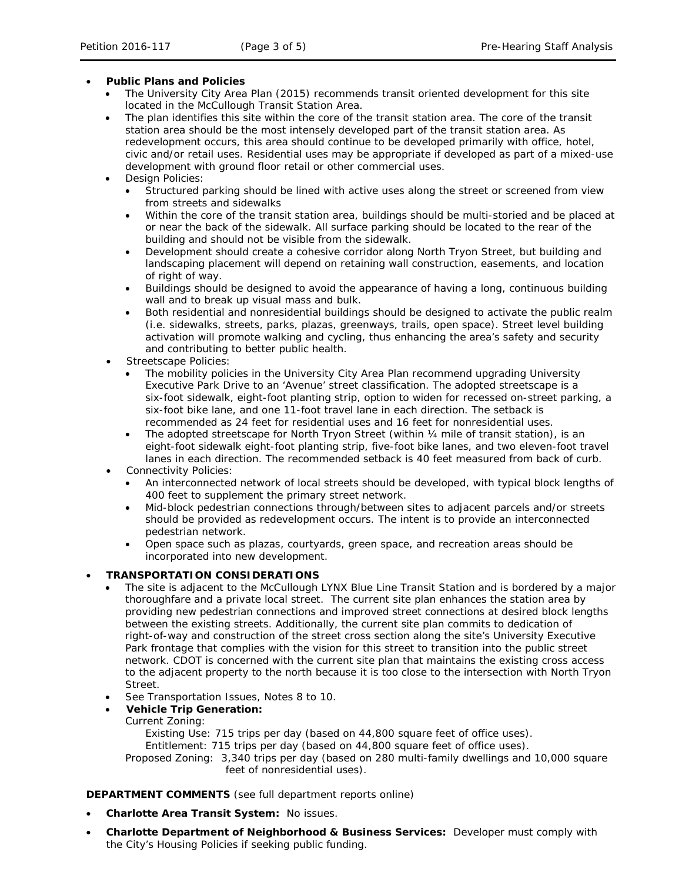## • **Public Plans and Policies**

- The *University City Area Plan* (2015) recommends transit oriented development for this site located in the McCullough Transit Station Area.
- The plan identifies this site within the core of the transit station area. The core of the transit station area should be the most intensely developed part of the transit station area. As redevelopment occurs, this area should continue to be developed primarily with office, hotel, civic and/or retail uses. Residential uses may be appropriate if developed as part of a mixed-use development with ground floor retail or other commercial uses.
- Design Policies:
	- Structured parking should be lined with active uses along the street or screened from view from streets and sidewalks
	- Within the core of the transit station area, buildings should be multi-storied and be placed at or near the back of the sidewalk. All surface parking should be located to the rear of the building and should not be visible from the sidewalk.
	- Development should create a cohesive corridor along North Tryon Street, but building and landscaping placement will depend on retaining wall construction, easements, and location of right of way.
	- Buildings should be designed to avoid the appearance of having a long, continuous building wall and to break up visual mass and bulk.
	- Both residential and nonresidential buildings should be designed to activate the public realm (i.e. sidewalks, streets, parks, plazas, greenways, trails, open space). Street level building activation will promote walking and cycling, thus enhancing the area's safety and security and contributing to better public health.
- Streetscape Policies:
	- The mobility policies in the *University City Area Plan* recommend upgrading University Executive Park Drive to an 'Avenue' street classification. The adopted streetscape is a six-foot sidewalk, eight-foot planting strip, option to widen for recessed on-street parking, a six-foot bike lane, and one 11-foot travel lane in each direction. The setback is recommended as 24 feet for residential uses and 16 feet for nonresidential uses.
	- The adopted streetscape for North Tryon Street (within 1/4 mile of transit station), is an eight-foot sidewalk eight-foot planting strip, five-foot bike lanes, and two eleven-foot travel lanes in each direction. The recommended setback is 40 feet measured from back of curb.
- Connectivity Policies:
	- An interconnected network of local streets should be developed, with typical block lengths of 400 feet to supplement the primary street network.
	- Mid-block pedestrian connections through/between sites to adjacent parcels and/or streets should be provided as redevelopment occurs. The intent is to provide an interconnected pedestrian network.
	- Open space such as plazas, courtyards, green space, and recreation areas should be incorporated into new development.

## • **TRANSPORTATION CONSIDERATIONS**

- The site is adjacent to the McCullough LYNX Blue Line Transit Station and is bordered by a major thoroughfare and a private local street. The current site plan enhances the station area by providing new pedestrian connections and improved street connections at desired block lengths between the existing streets. Additionally, the current site plan commits to dedication of right-of-way and construction of the street cross section along the site's University Executive Park frontage that complies with the vision for this street to transition into the public street network. CDOT is concerned with the current site plan that maintains the existing cross access to the adjacent property to the north because it is too close to the intersection with North Tryon Street.
- See Transportation Issues, Notes 8 to 10.
- **Vehicle Trip Generation:**
	- Current Zoning:
		- Existing Use: 715 trips per day (based on 44,800 square feet of office uses).

Entitlement: 715 trips per day (based on 44,800 square feet of office uses).

Proposed Zoning: 3,340 trips per day (based on 280 multi-family dwellings and 10,000 square feet of nonresidential uses).

## **DEPARTMENT COMMENTS** (see full department reports online)

- **Charlotte Area Transit System:** No issues.
- **Charlotte Department of Neighborhood & Business Services:** Developer must comply with the City's Housing Policies if seeking public funding.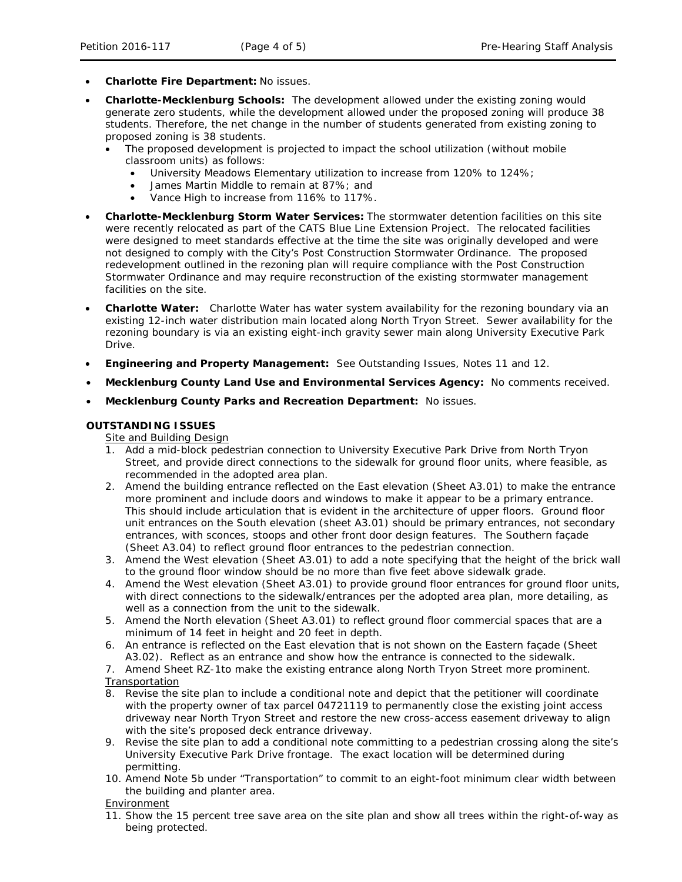- **Charlotte Fire Department:** No issues.
- **Charlotte-Mecklenburg Schools:** The development allowed under the existing zoning would generate zero students, while the development allowed under the proposed zoning will produce 38 students. Therefore, the net change in the number of students generated from existing zoning to proposed zoning is 38 students.
	- The proposed development is projected to impact the school utilization (without mobile classroom units) as follows:
		- University Meadows Elementary utilization to increase from 120% to 124%;
		- James Martin Middle to remain at 87%; and
		- Vance High to increase from 116% to 117%.
- **Charlotte-Mecklenburg Storm Water Services:** The stormwater detention facilities on this site were recently relocated as part of the CATS Blue Line Extension Project. The relocated facilities were designed to meet standards effective at the time the site was originally developed and were not designed to comply with the City's Post Construction Stormwater Ordinance. The proposed redevelopment outlined in the rezoning plan will require compliance with the Post Construction Stormwater Ordinance and may require reconstruction of the existing stormwater management facilities on the site.
- **Charlotte Water:** Charlotte Water has water system availability for the rezoning boundary via an existing 12-inch water distribution main located along North Tryon Street. Sewer availability for the rezoning boundary is via an existing eight-inch gravity sewer main along University Executive Park Drive.
- **Engineering and Property Management:** See Outstanding Issues, Notes 11 and 12.
- **Mecklenburg County Land Use and Environmental Services Agency:** No comments received.
- **Mecklenburg County Parks and Recreation Department:** No issues.

## **OUTSTANDING ISSUES**

Site and Building Design

- 1. Add a mid-block pedestrian connection to University Executive Park Drive from North Tryon Street, and provide direct connections to the sidewalk for ground floor units, where feasible, as recommended in the adopted area plan.
- 2. Amend the building entrance reflected on the East elevation (Sheet A3.01) to make the entrance more prominent and include doors and windows to make it appear to be a primary entrance. This should include articulation that is evident in the architecture of upper floors. Ground floor unit entrances on the South elevation (sheet A3.01) should be primary entrances, not secondary entrances, with sconces, stoops and other front door design features. The Southern façade (Sheet A3.04) to reflect ground floor entrances to the pedestrian connection.
- 3. Amend the West elevation (Sheet A3.01) to add a note specifying that the height of the brick wall to the ground floor window should be no more than five feet above sidewalk grade.
- 4. Amend the West elevation (Sheet A3.01) to provide ground floor entrances for ground floor units, with direct connections to the sidewalk/entrances per the adopted area plan, more detailing, as well as a connection from the unit to the sidewalk.
- 5. Amend the North elevation (Sheet A3.01) to reflect ground floor commercial spaces that are a minimum of 14 feet in height and 20 feet in depth.
- 6. An entrance is reflected on the East elevation that is not shown on the Eastern façade (Sheet A3.02). Reflect as an entrance and show how the entrance is connected to the sidewalk.

7. Amend Sheet RZ-1to make the existing entrance along North Tryon Street more prominent.

- **Transportation**
- 8. Revise the site plan to include a conditional note and depict that the petitioner will coordinate with the property owner of tax parcel 04721119 to permanently close the existing joint access driveway near North Tryon Street and restore the new cross-access easement driveway to align with the site's proposed deck entrance driveway.
- 9. Revise the site plan to add a conditional note committing to a pedestrian crossing along the site's University Executive Park Drive frontage. The exact location will be determined during permitting.
- 10. Amend Note 5b under "Transportation" to commit to an eight-foot minimum clear width between the building and planter area.

Environment

11. Show the 15 percent tree save area on the site plan and show all trees within the right-of-way as being protected.